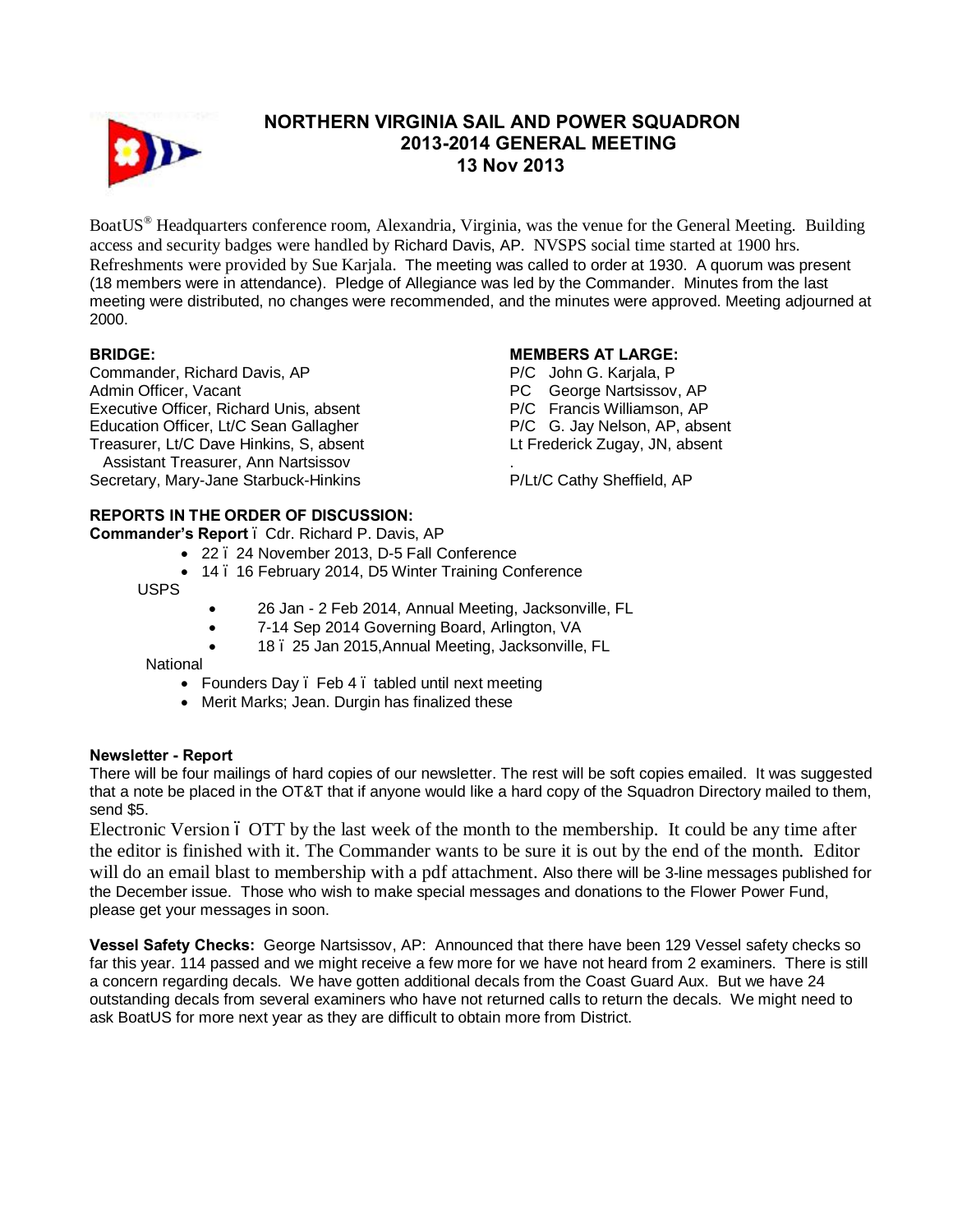

# **NORTHERN VIRGINIA SAIL AND POWER SQUADRON 2013-2014 GENERAL MEETING 13 Nov 2013**

BoatUS® Headquarters conference room, Alexandria, Virginia, was the venue for the General Meeting. Building access and security badges were handled by Richard Davis, AP. NVSPS social time started at 1900 hrs. Refreshments were provided by Sue Karjala. The meeting was called to order at 1930. A quorum was present (18 members were in attendance). Pledge of Allegiance was led by the Commander. Minutes from the last meeting were distributed, no changes were recommended, and the minutes were approved. Meeting adjourned at 2000.

## **BRIDGE:**

Commander, Richard Davis, AP Admin Officer, Vacant Executive Officer, Richard Unis, absent Education Officer, Lt/C Sean Gallagher Treasurer, Lt/C Dave Hinkins, S, absent Assistant Treasurer, Ann Nartsissov Secretary, Mary-Jane Starbuck-Hinkins

### **MEMBERS AT LARGE:**

P/C John G. Karjala, P PC George Nartsissov, AP P/C Francis Williamson, AP P/C G. Jay Nelson, AP, absent Lt Frederick Zugay, JN, absent

. P/Lt/C Cathy Sheffield, AP

# **REPORTS IN THE ORDER OF DISCUSSION:**

**Commander's Report** – Cdr. Richard P. Davis, AP

- · 22 24 November 2013, D-5 Fall Conference
- 14 . 16 February 2014, D5 Winter Training Conference

USPS

- 26 Jan 2 Feb 2014, Annual Meeting, Jacksonville, FL
- · 7-14 Sep 2014 Governing Board, Arlington, VA
- · 18 25 Jan 2015,Annual Meeting, Jacksonville, FL

National

- Founders Day . Feb 4 . tabled until next meeting
- · Merit Marks; Jean. Durgin has finalized these

## **Newsletter - Report**

There will be four mailings of hard copies of our newsletter. The rest will be soft copies emailed. It was suggested that a note be placed in the OT&T that if anyone would like a hard copy of the Squadron Directory mailed to them, send \$5.

Electronic Version 6 OTT by the last week of the month to the membership. It could be any time after the editor is finished with it. The Commander wants to be sure it is out by the end of the month. Editor will do an email blast to membership with a pdf attachment. Also there will be 3-line messages published for the December issue. Those who wish to make special messages and donations to the Flower Power Fund, please get your messages in soon.

**Vessel Safety Checks:** George Nartsissov, AP: Announced that there have been 129 Vessel safety checks so far this year. 114 passed and we might receive a few more for we have not heard from 2 examiners. There is still a concern regarding decals. We have gotten additional decals from the Coast Guard Aux. But we have 24 outstanding decals from several examiners who have not returned calls to return the decals. We might need to ask BoatUS for more next year as they are difficult to obtain more from District.